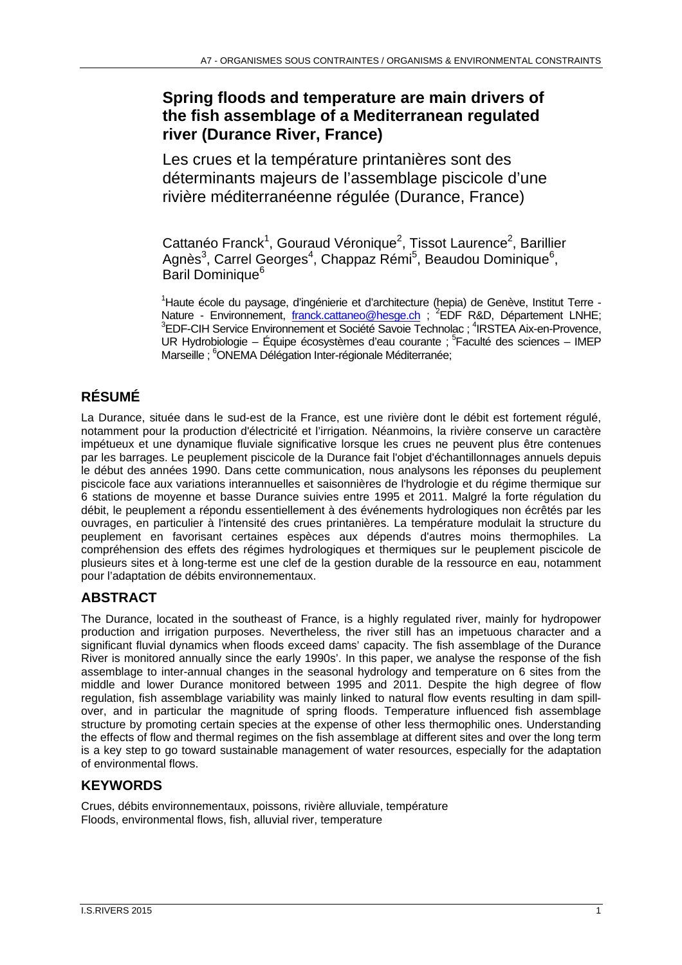# **Spring floods and temperature are main drivers of the fish assemblage of a Mediterranean regulated river (Durance River, France)**

Les crues et la température printanières sont des déterminants majeurs de l'assemblage piscicole d'une rivière méditerranéenne régulée (Durance, France)

Cattanéo Franck<sup>1</sup>, Gouraud Véronique<sup>2</sup>, Tissot Laurence<sup>2</sup>, Barillier Agnès<sup>3</sup>, Carrel Georges<sup>4</sup>, Chappaz Rémi<sup>5</sup>, Beaudou Dominique<sup>6</sup>, Baril Dominique<sup>6</sup>

<sup>1</sup>Haute école du paysage, d'ingénierie et d'architecture (hepia) de Genève, Institut Terre -Nature - Environnement, franck.cattaneo@hesge.ch ; <sup>2</sup>EDF R&D, Département LNHE;<br><sup>3</sup>EDE CIH Service Environnement et Seciété Seveja Technology <sup>4</sup>IDSTEA Aiv en Provence EDF-CIH Service Environnement et Société Savoie Technolac ; <sup>4</sup>IRSTEA Aix-en-Provence, UR Hydrobiologie – Équipe écosystèmes d'eau courante ;  $5$  Faculté des sciences – IMEP Marseille ; <sup>6</sup>ONEMA Délégation Inter-régionale Méditerranée;

# **RÉSUMÉ**

La Durance, située dans le sud-est de la France, est une rivière dont le débit est fortement régulé, notamment pour la production d'électricité et l'irrigation. Néanmoins, la rivière conserve un caractère impétueux et une dynamique fluviale significative lorsque les crues ne peuvent plus être contenues par les barrages. Le peuplement piscicole de la Durance fait l'objet d'échantillonnages annuels depuis le début des années 1990. Dans cette communication, nous analysons les réponses du peuplement piscicole face aux variations interannuelles et saisonnières de l'hydrologie et du régime thermique sur 6 stations de moyenne et basse Durance suivies entre 1995 et 2011. Malgré la forte régulation du débit, le peuplement a répondu essentiellement à des événements hydrologiques non écrêtés par les ouvrages, en particulier à l'intensité des crues printanières. La température modulait la structure du peuplement en favorisant certaines espèces aux dépends d'autres moins thermophiles. La compréhension des effets des régimes hydrologiques et thermiques sur le peuplement piscicole de plusieurs sites et à long-terme est une clef de la gestion durable de la ressource en eau, notamment pour l'adaptation de débits environnementaux.

# **ABSTRACT**

The Durance, located in the southeast of France, is a highly regulated river, mainly for hydropower production and irrigation purposes. Nevertheless, the river still has an impetuous character and a significant fluvial dynamics when floods exceed dams' capacity. The fish assemblage of the Durance River is monitored annually since the early 1990s'. In this paper, we analyse the response of the fish assemblage to inter-annual changes in the seasonal hydrology and temperature on 6 sites from the middle and lower Durance monitored between 1995 and 2011. Despite the high degree of flow regulation, fish assemblage variability was mainly linked to natural flow events resulting in dam spillover, and in particular the magnitude of spring floods. Temperature influenced fish assemblage structure by promoting certain species at the expense of other less thermophilic ones. Understanding the effects of flow and thermal regimes on the fish assemblage at different sites and over the long term is a key step to go toward sustainable management of water resources, especially for the adaptation of environmental flows.

# **KEYWORDS**

Crues, débits environnementaux, poissons, rivière alluviale, température Floods, environmental flows, fish, alluvial river, temperature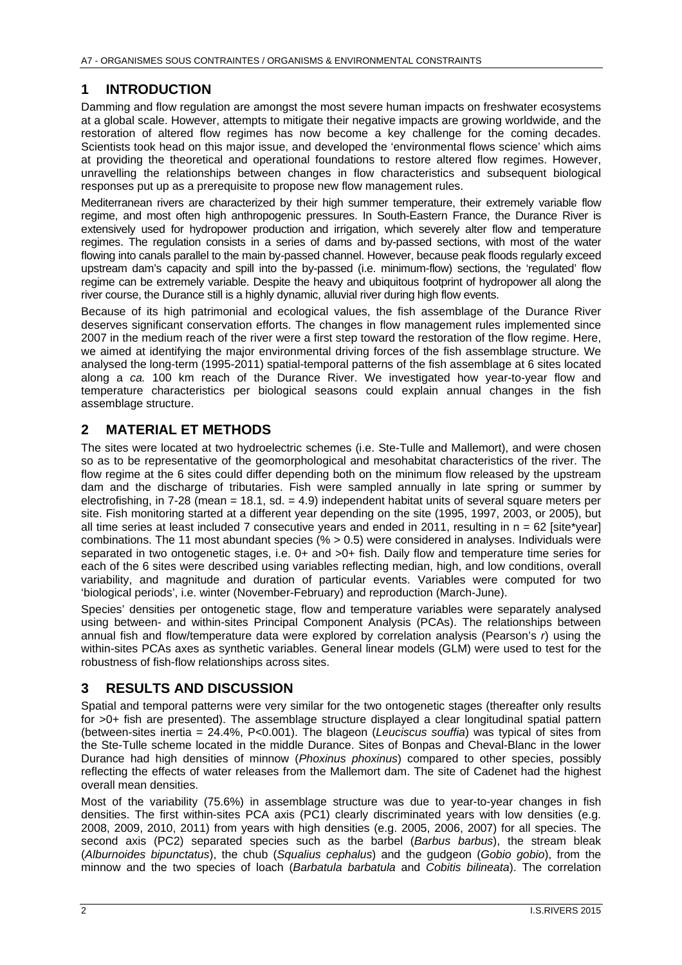#### **1 INTRODUCTION**

Damming and flow regulation are amongst the most severe human impacts on freshwater ecosystems at a global scale. However, attempts to mitigate their negative impacts are growing worldwide, and the restoration of altered flow regimes has now become a key challenge for the coming decades. Scientists took head on this major issue, and developed the 'environmental flows science' which aims at providing the theoretical and operational foundations to restore altered flow regimes. However, unravelling the relationships between changes in flow characteristics and subsequent biological responses put up as a prerequisite to propose new flow management rules.

Mediterranean rivers are characterized by their high summer temperature, their extremely variable flow regime, and most often high anthropogenic pressures. In South-Eastern France, the Durance River is extensively used for hydropower production and irrigation, which severely alter flow and temperature regimes. The regulation consists in a series of dams and by-passed sections, with most of the water flowing into canals parallel to the main by-passed channel. However, because peak floods regularly exceed upstream dam's capacity and spill into the by-passed (i.e. minimum-flow) sections, the 'regulated' flow regime can be extremely variable. Despite the heavy and ubiquitous footprint of hydropower all along the river course, the Durance still is a highly dynamic, alluvial river during high flow events.

Because of its high patrimonial and ecological values, the fish assemblage of the Durance River deserves significant conservation efforts. The changes in flow management rules implemented since 2007 in the medium reach of the river were a first step toward the restoration of the flow regime. Here, we aimed at identifying the major environmental driving forces of the fish assemblage structure. We analysed the long-term (1995-2011) spatial-temporal patterns of the fish assemblage at 6 sites located along a *ca.* 100 km reach of the Durance River. We investigated how year-to-year flow and temperature characteristics per biological seasons could explain annual changes in the fish assemblage structure.

### **2 MATERIAL ET METHODS**

The sites were located at two hydroelectric schemes (i.e. Ste-Tulle and Mallemort), and were chosen so as to be representative of the geomorphological and mesohabitat characteristics of the river. The flow regime at the 6 sites could differ depending both on the minimum flow released by the upstream dam and the discharge of tributaries. Fish were sampled annually in late spring or summer by electrofishing, in 7-28 (mean = 18.1, sd. = 4.9) independent habitat units of several square meters per site. Fish monitoring started at a different year depending on the site (1995, 1997, 2003, or 2005), but all time series at least included 7 consecutive years and ended in 2011, resulting in  $n = 62$  [site\*year] combinations. The 11 most abundant species (% > 0.5) were considered in analyses. Individuals were separated in two ontogenetic stages, i.e. 0+ and >0+ fish. Daily flow and temperature time series for each of the 6 sites were described using variables reflecting median, high, and low conditions, overall variability, and magnitude and duration of particular events. Variables were computed for two 'biological periods', i.e. winter (November-February) and reproduction (March-June).

Species' densities per ontogenetic stage, flow and temperature variables were separately analysed using between- and within-sites Principal Component Analysis (PCAs). The relationships between annual fish and flow/temperature data were explored by correlation analysis (Pearson's *r*) using the within-sites PCAs axes as synthetic variables. General linear models (GLM) were used to test for the robustness of fish-flow relationships across sites.

#### **3 RESULTS AND DISCUSSION**

Spatial and temporal patterns were very similar for the two ontogenetic stages (thereafter only results for >0+ fish are presented). The assemblage structure displayed a clear longitudinal spatial pattern (between-sites inertia = 24.4%, P<0.001). The blageon (*Leuciscus souffia*) was typical of sites from the Ste-Tulle scheme located in the middle Durance. Sites of Bonpas and Cheval-Blanc in the lower Durance had high densities of minnow (*Phoxinus phoxinus*) compared to other species, possibly reflecting the effects of water releases from the Mallemort dam. The site of Cadenet had the highest overall mean densities.

Most of the variability (75.6%) in assemblage structure was due to year-to-year changes in fish densities. The first within-sites PCA axis (PC1) clearly discriminated years with low densities (e.g. 2008, 2009, 2010, 2011) from years with high densities (e.g. 2005, 2006, 2007) for all species. The second axis (PC2) separated species such as the barbel (*Barbus barbus*), the stream bleak (*Alburnoides bipunctatus*), the chub (*Squalius cephalus*) and the gudgeon (*Gobio gobio*), from the minnow and the two species of loach (*Barbatula barbatula* and *Cobitis bilineata*). The correlation